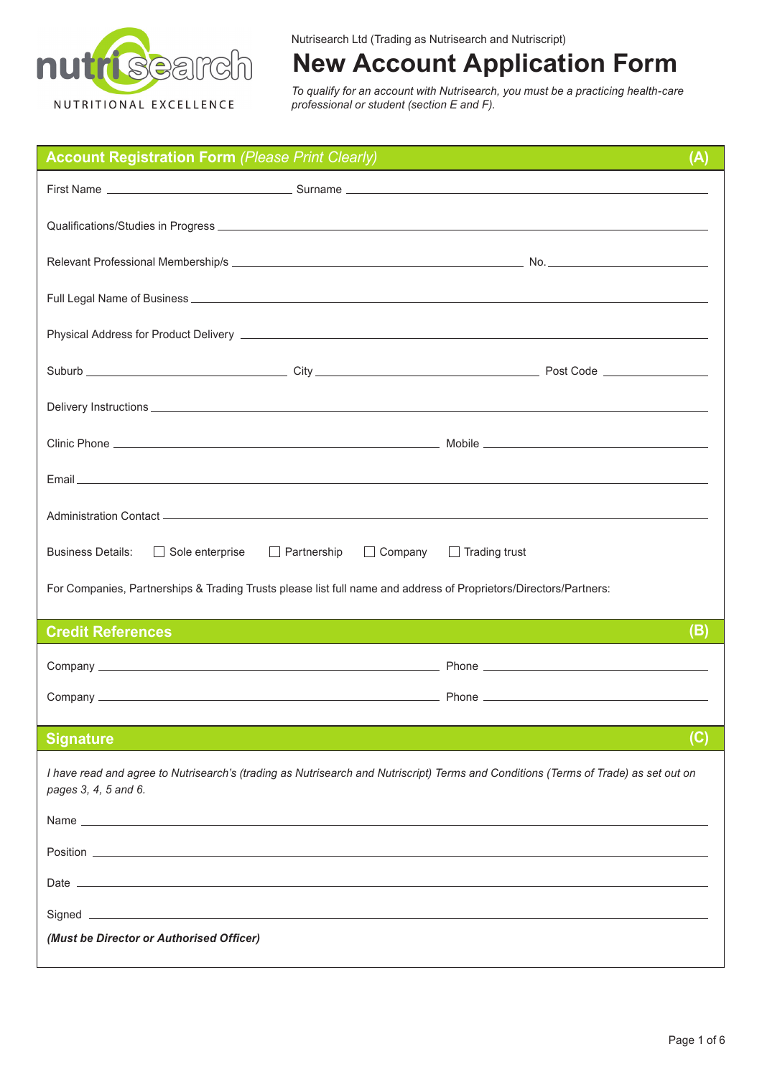

# **New Account Application Form**

*To qualify for an account with Nutrisearch, you must be a practicing health-care professional or student (section E and F).*

| <b>Account Registration Form (Please Print Clearly)</b>                                                                                                     |                                      | (A)                                                                                                                                                                                                                            |  |
|-------------------------------------------------------------------------------------------------------------------------------------------------------------|--------------------------------------|--------------------------------------------------------------------------------------------------------------------------------------------------------------------------------------------------------------------------------|--|
|                                                                                                                                                             |                                      |                                                                                                                                                                                                                                |  |
|                                                                                                                                                             |                                      |                                                                                                                                                                                                                                |  |
|                                                                                                                                                             |                                      |                                                                                                                                                                                                                                |  |
|                                                                                                                                                             |                                      |                                                                                                                                                                                                                                |  |
|                                                                                                                                                             |                                      |                                                                                                                                                                                                                                |  |
|                                                                                                                                                             |                                      |                                                                                                                                                                                                                                |  |
|                                                                                                                                                             |                                      | Delivery Instructions entrance and the control of the control of the control of the control of the control of the control of the control of the control of the control of the control of the control of the control of the con |  |
|                                                                                                                                                             |                                      |                                                                                                                                                                                                                                |  |
|                                                                                                                                                             |                                      |                                                                                                                                                                                                                                |  |
|                                                                                                                                                             |                                      |                                                                                                                                                                                                                                |  |
| <b>Business Details:</b><br>$\Box$ Sole enterprise                                                                                                          | $\Box$ Company<br>$\Box$ Partnership | $\Box$ Trading trust                                                                                                                                                                                                           |  |
| For Companies, Partnerships & Trading Trusts please list full name and address of Proprietors/Directors/Partners:                                           |                                      |                                                                                                                                                                                                                                |  |
| <b>Credit References</b>                                                                                                                                    |                                      | (B)<br>and the state of the state of the state of the state of the state of the state of the state of the state of th                                                                                                          |  |
|                                                                                                                                                             |                                      |                                                                                                                                                                                                                                |  |
|                                                                                                                                                             |                                      |                                                                                                                                                                                                                                |  |
| <b>Signature</b>                                                                                                                                            |                                      | (C)                                                                                                                                                                                                                            |  |
| I have read and agree to Nutrisearch's (trading as Nutrisearch and Nutriscript) Terms and Conditions (Terms of Trade) as set out on<br>pages 3, 4, 5 and 6. |                                      |                                                                                                                                                                                                                                |  |
|                                                                                                                                                             |                                      |                                                                                                                                                                                                                                |  |
|                                                                                                                                                             |                                      |                                                                                                                                                                                                                                |  |
|                                                                                                                                                             |                                      |                                                                                                                                                                                                                                |  |
|                                                                                                                                                             |                                      |                                                                                                                                                                                                                                |  |
| (Must be Director or Authorised Officer)                                                                                                                    |                                      |                                                                                                                                                                                                                                |  |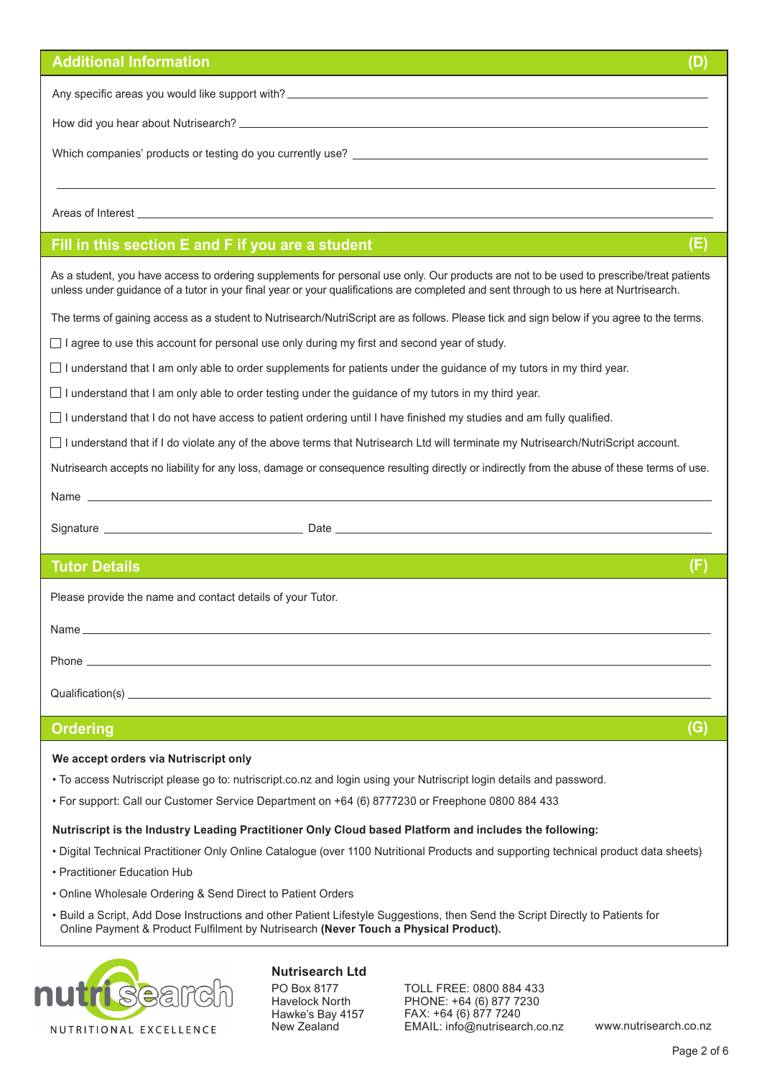| <b>Additional Information</b><br>(D)                                                                                                                                                                                                                                                                                                                                                                                                                                            |  |  |
|---------------------------------------------------------------------------------------------------------------------------------------------------------------------------------------------------------------------------------------------------------------------------------------------------------------------------------------------------------------------------------------------------------------------------------------------------------------------------------|--|--|
|                                                                                                                                                                                                                                                                                                                                                                                                                                                                                 |  |  |
|                                                                                                                                                                                                                                                                                                                                                                                                                                                                                 |  |  |
|                                                                                                                                                                                                                                                                                                                                                                                                                                                                                 |  |  |
|                                                                                                                                                                                                                                                                                                                                                                                                                                                                                 |  |  |
|                                                                                                                                                                                                                                                                                                                                                                                                                                                                                 |  |  |
| (E)<br>Fill in this section E and F if you are a student                                                                                                                                                                                                                                                                                                                                                                                                                        |  |  |
| As a student, you have access to ordering supplements for personal use only. Our products are not to be used to prescribe/treat patients<br>unless under guidance of a tutor in your final year or your qualifications are completed and sent through to us here at Nurtrisearch.                                                                                                                                                                                               |  |  |
| The terms of gaining access as a student to Nutrisearch/NutriScript are as follows. Please tick and sign below if you agree to the terms.                                                                                                                                                                                                                                                                                                                                       |  |  |
| I agree to use this account for personal use only during my first and second year of study.                                                                                                                                                                                                                                                                                                                                                                                     |  |  |
| $\Box$ I understand that I am only able to order supplements for patients under the guidance of my tutors in my third year.                                                                                                                                                                                                                                                                                                                                                     |  |  |
| I understand that I am only able to order testing under the guidance of my tutors in my third year.                                                                                                                                                                                                                                                                                                                                                                             |  |  |
| $\Box$ I understand that I do not have access to patient ordering until I have finished my studies and am fully qualified.                                                                                                                                                                                                                                                                                                                                                      |  |  |
| □ I understand that if I do violate any of the above terms that Nutrisearch Ltd will terminate my Nutrisearch/NutriScript account.                                                                                                                                                                                                                                                                                                                                              |  |  |
| Nutrisearch accepts no liability for any loss, damage or consequence resulting directly or indirectly from the abuse of these terms of use.                                                                                                                                                                                                                                                                                                                                     |  |  |
|                                                                                                                                                                                                                                                                                                                                                                                                                                                                                 |  |  |
|                                                                                                                                                                                                                                                                                                                                                                                                                                                                                 |  |  |
| (F)<br><b>Tutor Details</b>                                                                                                                                                                                                                                                                                                                                                                                                                                                     |  |  |
| Please provide the name and contact details of your Tutor.                                                                                                                                                                                                                                                                                                                                                                                                                      |  |  |
|                                                                                                                                                                                                                                                                                                                                                                                                                                                                                 |  |  |
|                                                                                                                                                                                                                                                                                                                                                                                                                                                                                 |  |  |
|                                                                                                                                                                                                                                                                                                                                                                                                                                                                                 |  |  |
|                                                                                                                                                                                                                                                                                                                                                                                                                                                                                 |  |  |
| (G)<br><b>Ordering</b><br><b>Service Service</b>                                                                                                                                                                                                                                                                                                                                                                                                                                |  |  |
| We accept orders via Nutriscript only<br>. To access Nutriscript please go to: nutriscript.co.nz and login using your Nutriscript login details and password.<br>* For support: Call our Customer Service Department on +64 (6) 8777230 or Freephone 0800 884 433                                                                                                                                                                                                               |  |  |
| Nutriscript is the Industry Leading Practitioner Only Cloud based Platform and includes the following:<br>· Digital Technical Practitioner Only Online Catalogue (over 1100 Nutritional Products and supporting technical product data sheets)<br>• Practitioner Education Hub<br>• Online Wholesale Ordering & Send Direct to Patient Orders<br>. Build a Script, Add Dose Instructions and other Patient Lifestyle Suggestions, then Send the Script Directly to Patients for |  |  |
| Online Payment & Product Fulfilment by Nutrisearch (Never Touch a Physical Product).                                                                                                                                                                                                                                                                                                                                                                                            |  |  |



**Nutrisearch Ltd** PO Box 8177 Havelock North Hawke's Bay 4157 New Zealand

TOLL FREE: 0800 884 433 PHONE: +64 (6) 877 7230 FAX: +64 (6) 877 7240 EMAIL: info@nutrisearch.co.nz www.nutrisearch.co.nz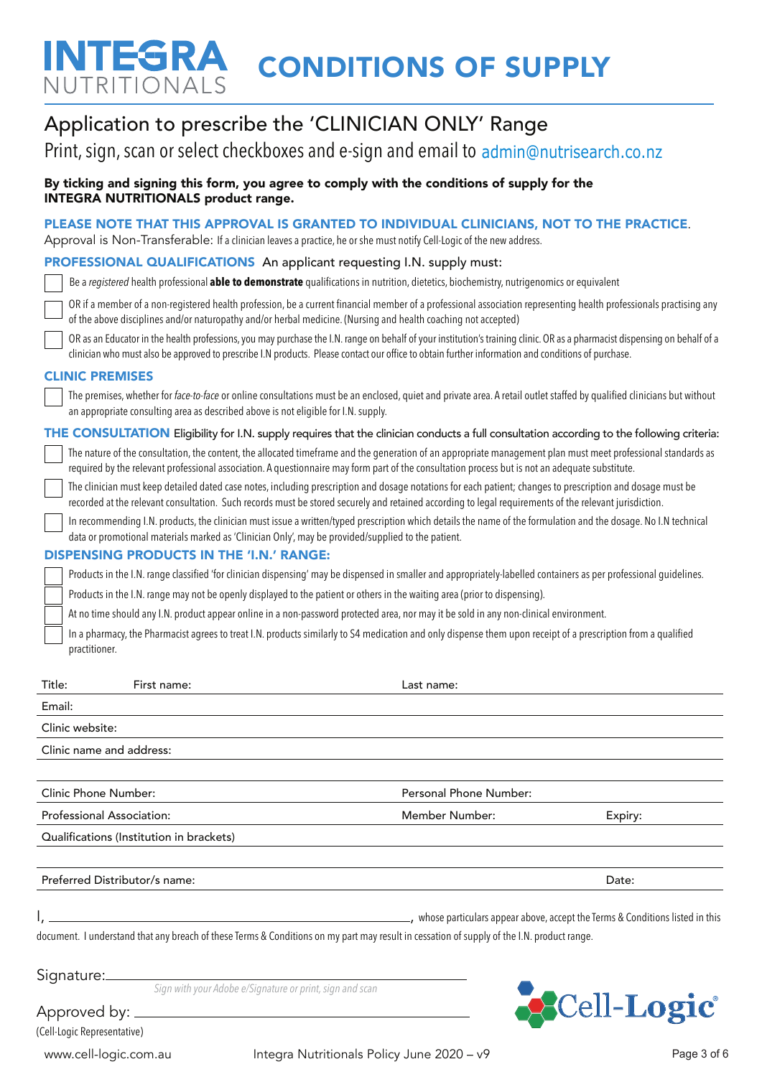# NTEGRA CONDITIONS OF SUPPLY NUTRITIONALS

| Clinic Phone Number:<br>Personal Phone Number:                                                                                                                                                                                                                                                                                                                                                                                                                 |  |  |
|----------------------------------------------------------------------------------------------------------------------------------------------------------------------------------------------------------------------------------------------------------------------------------------------------------------------------------------------------------------------------------------------------------------------------------------------------------------|--|--|
|                                                                                                                                                                                                                                                                                                                                                                                                                                                                |  |  |
| Clinic name and address:                                                                                                                                                                                                                                                                                                                                                                                                                                       |  |  |
| Clinic website:                                                                                                                                                                                                                                                                                                                                                                                                                                                |  |  |
| Email:                                                                                                                                                                                                                                                                                                                                                                                                                                                         |  |  |
| practitioner.<br>Title:<br>First name:<br>Last name:                                                                                                                                                                                                                                                                                                                                                                                                           |  |  |
| In a pharmacy, the Pharmacist agrees to treat I.N. products similarly to S4 medication and only dispense them upon receipt of a prescription from a qualified                                                                                                                                                                                                                                                                                                  |  |  |
| At no time should any I.N. product appear online in a non-password protected area, nor may it be sold in any non-clinical environment.                                                                                                                                                                                                                                                                                                                         |  |  |
| Products in the I.N. range may not be openly displayed to the patient or others in the waiting area (prior to dispensing).                                                                                                                                                                                                                                                                                                                                     |  |  |
| Products in the I.N. range classified 'for clinician dispensing' may be dispensed in smaller and appropriately-labelled containers as per professional guidelines.                                                                                                                                                                                                                                                                                             |  |  |
| In recommending I.N. products, the clinician must issue a written/typed prescription which details the name of the formulation and the dosage. No I.N technical<br>data or promotional materials marked as 'Clinician Only', may be provided/supplied to the patient.<br><b>DISPENSING PRODUCTS IN THE 'I.N.' RANGE:</b>                                                                                                                                       |  |  |
| The clinician must keep detailed dated case notes, including prescription and dosage notations for each patient; changes to prescription and dosage must be<br>recorded at the relevant consultation. Such records must be stored securely and retained according to legal requirements of the relevant jurisdiction.                                                                                                                                          |  |  |
| THE CONSULTATION Eligibility for I.N. supply requires that the clinician conducts a full consultation according to the following criteria:<br>The nature of the consultation, the content, the allocated timeframe and the generation of an appropriate management plan must meet professional standards as<br>required by the relevant professional association. A questionnaire may form part of the consultation process but is not an adequate substitute. |  |  |
| The premises, whether for face-to-face or online consultations must be an enclosed, quiet and private area. A retail outlet staffed by qualified clinicians but without<br>an appropriate consulting area as described above is not eligible for I.N. supply.                                                                                                                                                                                                  |  |  |
| <b>CLINIC PREMISES</b>                                                                                                                                                                                                                                                                                                                                                                                                                                         |  |  |
| OR as an Educator in the health professions, you may purchase the I.N. range on behalf of your institution's training clinic. OR as a pharmacist dispensing on behalf of a<br>clinician who must also be approved to prescribe I.N products. Please contact our office to obtain further information and conditions of purchase.                                                                                                                               |  |  |
| OR if a member of a non-registered health profession, be a current financial member of a professional association representing health professionals practising any<br>of the above disciplines and/or naturopathy and/or herbal medicine. (Nursing and health coaching not accepted)                                                                                                                                                                           |  |  |
| Be a registered health professional able to demonstrate qualifications in nutrition, dietetics, biochemistry, nutrigenomics or equivalent                                                                                                                                                                                                                                                                                                                      |  |  |
| <b>PROFESSIONAL QUALIFICATIONS</b> An applicant requesting I.N. supply must:                                                                                                                                                                                                                                                                                                                                                                                   |  |  |
| PLEASE NOTE THAT THIS APPROVAL IS GRANTED TO INDIVIDUAL CLINICIANS, NOT TO THE PRACTICE.<br>Approval is Non-Transferable: If a clinician leaves a practice, he or she must notify Cell-Logic of the new address.                                                                                                                                                                                                                                               |  |  |
| By ticking and signing this form, you agree to comply with the conditions of supply for the<br><b>INTEGRA NUTRITIONALS product range.</b>                                                                                                                                                                                                                                                                                                                      |  |  |
| Print, sign, scan or select checkboxes and e-sign and email to admin@nutrisearch.co.nz                                                                                                                                                                                                                                                                                                                                                                         |  |  |
| Application to prescribe the 'CLINICIAN ONLY' Range                                                                                                                                                                                                                                                                                                                                                                                                            |  |  |
|                                                                                                                                                                                                                                                                                                                                                                                                                                                                |  |  |

Professional Association: The Contract of the Member Number Number: Expiry: Expiry: Qualifications (Institution in brackets) Preferred Distributor/s name: Date: Date: Date: Date: Date: Date: Date: Date: Date: Date: Date: Date: Date: Date: Date: Date: Date: Date: Date: Date: Date: Date: Date: Date: Date: Date: Date: Date: Date: Date: Date: Date:

I, , whose particulars appear above, accept the Terms & Conditions listed in this

document. I understand that any breach of these Terms & Conditions on my part may result in cessation of supply of the I.N. product range.

Signature:

*Sign with your Adobe e/Signature or print, sign and scan*



(Cell-Logic Representative)

Approved by: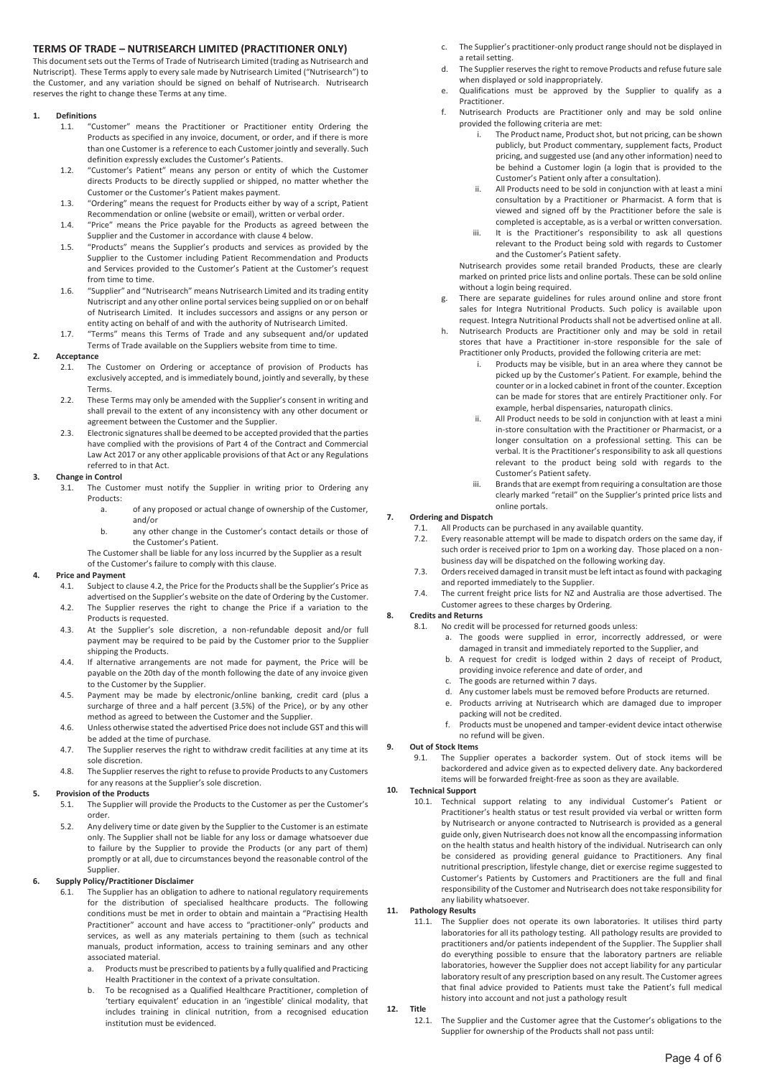# **TERMS OF TRADE – NUTRISEARCH LIMITED (PRACTITIONER ONLY)**

This document sets out the Terms of Trade of Nutrisearch Limited (trading as Nutrisearch and Nutriscript). These Terms apply to every sale made by Nutrisearch Limited ("Nutrisearch") to the Customer, and any variation should be signed on behalf of Nutrisearch. Nutrisearch reserves the right to change these Terms at any time.

### **1. Definitions**

- 1.1. "Customer" means the Practitioner or Practitioner entity Ordering the Products as specified in any invoice, document, or order, and if there is more than one Customer is a reference to each Customer jointly and severally. Such definition expressly excludes the Customer's Patients.
- 1.2. "Customer's Patient" means any person or entity of which the Customer directs Products to be directly supplied or shipped, no matter whether the Customer or the Customer's Patient makes payment.
- 1.3. "Ordering" means the request for Products either by way of a script, Patient Recommendation or online (website or email), written or verbal order.
- 1.4. "Price" means the Price payable for the Products as agreed between the Supplier and the Customer in accordance with clause 4 below.
- 1.5. "Products" means the Supplier's products and services as provided by the Supplier to the Customer including Patient Recommendation and Products and Services provided to the Customer's Patient at the Customer's request from time to time.
- 1.6. "Supplier" and "Nutrisearch" means Nutrisearch Limited and its trading entity Nutriscript and any other online portal services being supplied on or on behalf of Nutrisearch Limited. It includes successors and assigns or any person or entity acting on behalf of and with the authority of Nutrisearch Limited.
- 1.7. "Terms" means this Terms of Trade and any subsequent and/or updated Terms of Trade available on the Suppliers website from time to time.

# **2. Acceptance**

- 2.1. The Customer on Ordering or acceptance of provision of Products has exclusively accepted, and is immediately bound, jointly and severally, by these Terms.
- 2.2. These Terms may only be amended with the Supplier's consent in writing and shall prevail to the extent of any inconsistency with any other document or agreement between the Customer and the Supplier.
- 2.3. Electronic signatures shall be deemed to be accepted provided that the parties have complied with the provisions of Part 4 of the Contract and Commercial Law Act 2017 or any other applicable provisions of that Act or any Regulations referred to in that Act.

### **3. Change in Control**

- 3.1. The Customer must notify the Supplier in writing prior to Ordering any Products:<br>a.
	- of any proposed or actual change of ownership of the Customer, and/or
	- b. any other change in the Customer's contact details or those of the Customer's Patient.
	- The Customer shall be liable for any loss incurred by the Supplier as a result

of the Customer's failure to comply with this clause.

#### **4. Price and Payment**

- 4.1. Subject to clause 4.2, the Price for the Products shall be the Supplier's Price as advertised on the Supplier's website on the date of Ordering by the Customer.
- 4.2. The Supplier reserves the right to change the Price if a variation to the Products is requested.
- 4.3. At the Supplier's sole discretion, a non-refundable deposit and/or full payment may be required to be paid by the Customer prior to the Supplier shipping the Products.
- 4.4. If alternative arrangements are not made for payment, the Price will be payable on the 20th day of the month following the date of any invoice given to the Customer by the Supplier.
- 4.5. Payment may be made by electronic/online banking, credit card (plus a surcharge of three and a half percent (3.5%) of the Price), or by any other method as agreed to between the Customer and the Supplier.
- 4.6. Unless otherwise stated the advertised Price does not include GST and this will be added at the time of purchase.
- 4.7. The Supplier reserves the right to withdraw credit facilities at any time at its sole discretion.
- 4.8. The Supplier reserves the right to refuse to provide Products to any Customers for any reasons at the Supplier's sole discretion.

# **5. Provision of the Products**

- 5.1. The Supplier will provide the Products to the Customer as per the Customer's order.
- 5.2. Any delivery time or date given by the Supplier to the Customer is an estimate only. The Supplier shall not be liable for any loss or damage whatsoever due to failure by the Supplier to provide the Products (or any part of them) promptly or at all, due to circumstances beyond the reasonable control of the Supplier.

#### **6. Supply Policy/Practitioner Disclaimer**

- 6.1. The Supplier has an obligation to adhere to national regulatory requirements for the distribution of specialised healthcare products. The following conditions must be met in order to obtain and maintain a "Practising Health Practitioner" account and have access to "practitioner-only" products and services, as well as any materials pertaining to them (such as technical manuals, product information, access to training seminars and any other associated material.
	- Products must be prescribed to patients by a fully qualified and Practicing Health Practitioner in the context of a private consultation.
	- b. To be recognised as a Qualified Healthcare Practitioner, completion of 'tertiary equivalent' education in an 'ingestible' clinical modality, that includes training in clinical nutrition, from a recognised education institution must be evidenced.
- c. The Supplier's practitioner-only product range should not be displayed in a retail setting.
- d. The Supplier reserves the right to remove Products and refuse future sale when displayed or sold inappropriately.
- e. Qualifications must be approved by the Supplier to qualify as a Practitioner.
- f. Nutrisearch Products are Practitioner only and may be sold online provided the following criteria are met:
	- i. The Product name, Product shot, but not pricing, can be shown publicly, but Product commentary, supplement facts, Product pricing, and suggested use (and any other information) need to be behind a Customer login (a login that is provided to the Customer's Patient only after a consultation).
	- ii. All Products need to be sold in conjunction with at least a mini consultation by a Practitioner or Pharmacist. A form that is viewed and signed off by the Practitioner before the sale is completed is acceptable, as is a verbal or written conversation.
	- iii. It is the Practitioner's responsibility to ask all questions relevant to the Product being sold with regards to Customer and the Customer's Patient safety.

Nutrisearch provides some retail branded Products, these are clearly marked on printed price lists and online portals. These can be sold online without a login being required.

- g. There are separate guidelines for rules around online and store front sales for Integra Nutritional Products. Such policy is available upon request. Integra Nutritional Products shall not be advertised online at all.
- h. Nutrisearch Products are Practitioner only and may be sold in retail stores that have a Practitioner in-store responsible for the sale of Practitioner only Products, provided the following criteria are met:
	- i. Products may be visible, but in an area where they cannot be picked up by the Customer's Patient. For example, behind the counter or in a locked cabinet in front of the counter. Exception can be made for stores that are entirely Practitioner only. For example, herbal dispensaries, naturopath clinics.
	- ii. All Product needs to be sold in conjunction with at least a mini in-store consultation with the Practitioner or Pharmacist, or a longer consultation on a professional setting. This can be verbal. It is the Practitioner's responsibility to ask all questions relevant to the product being sold with regards to the Customer's Patient safety.
	- iii. Brands that are exempt from requiring a consultation are those clearly marked "retail" on the Supplier's printed price lists and online portals.

# **7. Ordering and Dispatch**

- 7.1. All Products can be purchased in any available quantity.
- 7.2. Every reasonable attempt will be made to dispatch orders on the same day, if such order is received prior to 1pm on a working day. Those placed on a nonbusiness day will be dispatched on the following working day.
- 7.3. Orders received damaged in transit must be left intact as found with packaging and reported immediately to the Supplier.
- 7.4. The current freight price lists for NZ and Australia are those advertised. The Customer agrees to these charges by Ordering.

#### **8. Credits and Returns**

- 8.1. No credit will be processed for returned goods unless:
	- a. The goods were supplied in error, incorrectly addressed, or were damaged in transit and immediately reported to the Supplier, and
	- b. A request for credit is lodged within 2 days of receipt of Product, providing invoice reference and date of order, and
	- c. The goods are returned within 7 days.
	- d. Any customer labels must be removed before Products are returned.
	- e. Products arriving at Nutrisearch which are damaged due to improper packing will not be credited.
	- Products must be unopened and tamper-evident device intact otherwise no refund will be given.

# **9. Out of Stock Items**

9.1. The Supplier operates a backorder system. Out of stock items will be backordered and advice given as to expected delivery date. Any backordered items will be forwarded freight-free as soon as they are available.

# **10. Technical Support**

10.1. Technical support relating to any individual Customer's Patient or Practitioner's health status or test result provided via verbal or written form by Nutrisearch or anyone contracted to Nutrisearch is provided as a general guide only, given Nutrisearch does not know all the encompassing information on the health status and health history of the individual. Nutrisearch can only be considered as providing general guidance to Practitioners. Any final nutritional prescription, lifestyle change, diet or exercise regime suggested to Customer's Patients by Customers and Practitioners are the full and final responsibility of the Customer and Nutrisearch does not take responsibility for any liability whatsoever.

#### **11. Pathology Results**

11.1. The Supplier does not operate its own laboratories. It utilises third party laboratories for all its pathology testing. All pathology results are provided to practitioners and/or patients independent of the Supplier. The Supplier shall do everything possible to ensure that the laboratory partners are reliable laboratories, however the Supplier does not accept liability for any particular laboratory result of any prescription based on any result. The Customer agrees that final advice provided to Patients must take the Patient's full medical history into account and not just a pathology result

# **12. Title**

12.1. The Supplier and the Customer agree that the Customer's obligations to the Supplier for ownership of the Products shall not pass until: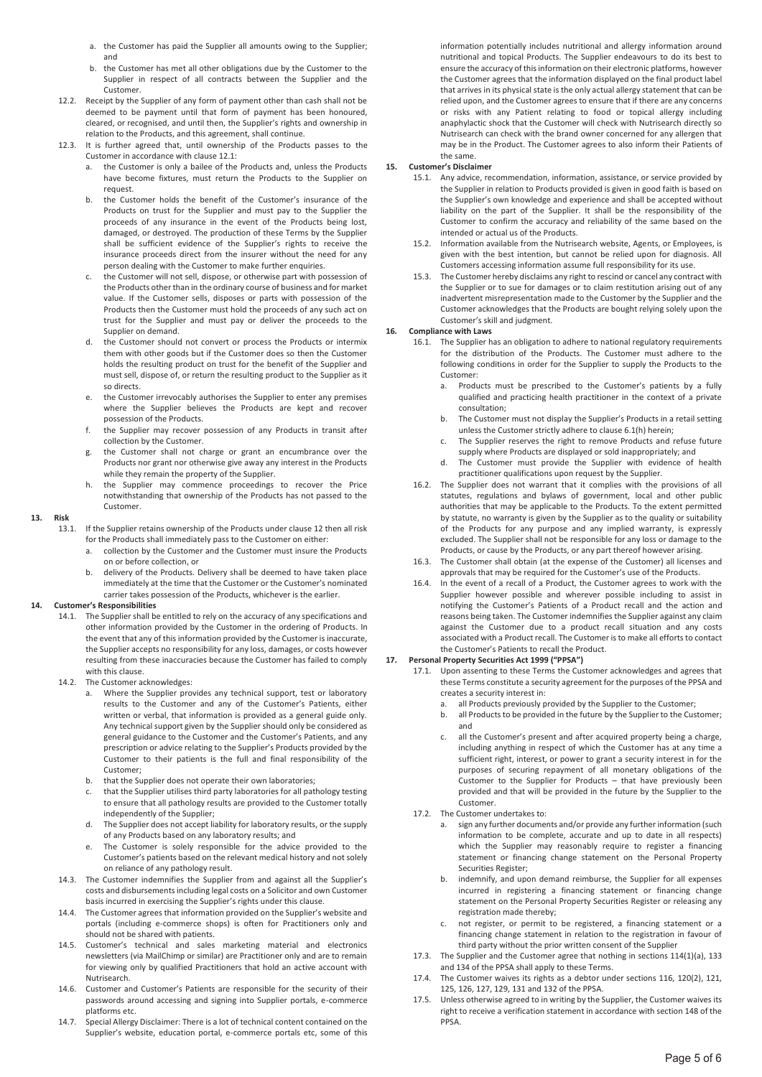- a. the Customer has paid the Supplier all amounts owing to the Supplier; and
- b. the Customer has met all other obligations due by the Customer to the Supplier in respect of all contracts between the Supplier and the Customer.
- 12.2. Receipt by the Supplier of any form of payment other than cash shall not be deemed to be payment until that form of payment has been honoured, cleared, or recognised, and until then, the Supplier's rights and ownership in relation to the Products, and this agreement, shall continue.
- 12.3. It is further agreed that, until ownership of the Products passes to the Customer in accordance with clause 12.1:
	- a. the Customer is only a bailee of the Products and, unless the Products have become fixtures, must return the Products to the Supplier on request.
	- b. the Customer holds the benefit of the Customer's insurance of the Products on trust for the Supplier and must pay to the Supplier the proceeds of any insurance in the event of the Products being lost, damaged, or destroyed. The production of these Terms by the Supplier shall be sufficient evidence of the Supplier's rights to receive the insurance proceeds direct from the insurer without the need for any person dealing with the Customer to make further enquiries.
	- c. the Customer will not sell, dispose, or otherwise part with possession of the Products other than in the ordinary course of business and for market value. If the Customer sells, disposes or parts with possession of the Products then the Customer must hold the proceeds of any such act on trust for the Supplier and must pay or deliver the proceeds to the Supplier on demand.
	- d. the Customer should not convert or process the Products or intermix them with other goods but if the Customer does so then the Customer holds the resulting product on trust for the benefit of the Supplier and must sell, dispose of, or return the resulting product to the Supplier as it so directs.
	- e. the Customer irrevocably authorises the Supplier to enter any premises where the Supplier believes the Products are kept and recover possession of the Products.
	- f. the Supplier may recover possession of any Products in transit after collection by the Customer.
	- g. the Customer shall not charge or grant an encumbrance over the Products nor grant nor otherwise give away any interest in the Products while they remain the property of the Supplier.
	- h. the Supplier may commence proceedings to recover the Price notwithstanding that ownership of the Products has not passed to the Customer.

#### **13. Risk**

- 13.1. If the Supplier retains ownership of the Products under clause 12 then all risk for the Products shall immediately pass to the Customer on either:
	- a. collection by the Customer and the Customer must insure the Products on or before collection, or
	- b. delivery of the Products. Delivery shall be deemed to have taken place immediately at the time that the Customer or the Customer's nominated carrier takes possession of the Products, whichever is the earlier.

#### **14. Customer's Responsibilities**

- 14.1. The Supplier shall be entitled to rely on the accuracy of any specifications and other information provided by the Customer in the ordering of Products. In the event that any of this information provided by the Customer is inaccurate, the Supplier accepts no responsibility for any loss, damages, or costs however resulting from these inaccuracies because the Customer has failed to comply with this clause.
- 14.2. The Customer acknowledges:
	- a. Where the Supplier provides any technical support, test or laboratory results to the Customer and any of the Customer's Patients, either written or verbal, that information is provided as a general guide only. Any technical support given by the Supplier should only be considered as general guidance to the Customer and the Customer's Patients, and any prescription or advice relating to the Supplier's Products provided by the Customer to their patients is the full and final responsibility of the Customer;
	- b. that the Supplier does not operate their own laboratories;
	- c. that the Supplier utilises third party laboratories for all pathology testing to ensure that all pathology results are provided to the Customer totally independently of the Supplier;
	- d. The Supplier does not accept liability for laboratory results, or the supply of any Products based on any laboratory results; and
	- e. The Customer is solely responsible for the advice provided to the Customer's patients based on the relevant medical history and not solely on reliance of any pathology result.
- 14.3. The Customer indemnifies the Supplier from and against all the Supplier's costs and disbursements including legal costs on a Solicitor and own Customer basis incurred in exercising the Supplier's rights under this clause.
- 14.4. The Customer agrees that information provided on the Supplier's website and portals (including e-commerce shops) is often for Practitioners only and should not be shared with patients.
- 14.5. Customer's technical and sales marketing material and electronics newsletters (via MailChimp or similar) are Practitioner only and are to remain for viewing only by qualified Practitioners that hold an active account with Nutrisearch.
- 14.6. Customer and Customer's Patients are responsible for the security of their passwords around accessing and signing into Supplier portals, e-commerce platforms etc.
- 14.7. Special Allergy Disclaimer: There is a lot of technical content contained on the Supplier's website, education portal, e-commerce portals etc, some of this

information potentially includes nutritional and allergy information around nutritional and topical Products. The Supplier endeavours to do its best to ensure the accuracy of this information on their electronic platforms, however the Customer agrees that the information displayed on the final product label that arrives in its physical state is the only actual allergy statement that can be relied upon, and the Customer agrees to ensure that if there are any concerns or risks with any Patient relating to food or topical allergy including anaphylactic shock that the Customer will check with Nutrisearch directly so Nutrisearch can check with the brand owner concerned for any allergen that may be in the Product. The Customer agrees to also inform their Patients of the same.

#### **15. Customer's Disclaimer**

- 15.1. Any advice, recommendation, information, assistance, or service provided by the Supplier in relation to Products provided is given in good faith is based on the Supplier's own knowledge and experience and shall be accepted without liability on the part of the Supplier. It shall be the responsibility of the Customer to confirm the accuracy and reliability of the same based on the intended or actual us of the Products.
- 15.2. Information available from the Nutrisearch website, Agents, or Employees, is given with the best intention, but cannot be relied upon for diagnosis. All Customers accessing information assume full responsibility for its use.
- 15.3. The Customer hereby disclaims any right to rescind or cancel any contract with the Supplier or to sue for damages or to claim restitution arising out of any inadvertent misrepresentation made to the Customer by the Supplier and the Customer acknowledges that the Products are bought relying solely upon the Customer's skill and judgment.

#### **16. Compliance with Laws**

- 16.1. The Supplier has an obligation to adhere to national regulatory requirements for the distribution of the Products. The Customer must adhere to the following conditions in order for the Supplier to supply the Products to the Customer:
	- a. Products must be prescribed to the Customer's patients by a fully qualified and practicing health practitioner in the context of a private consultation;
	- b. The Customer must not display the Supplier's Products in a retail setting unless the Customer strictly adhere to clause 6.1(h) herein;
	- The Supplier reserves the right to remove Products and refuse future supply where Products are displayed or sold inappropriately; and
	- d. The Customer must provide the Supplier with evidence of health practitioner qualifications upon request by the Supplier.
- 16.2. The Supplier does not warrant that it complies with the provisions of all statutes, regulations and bylaws of government, local and other public authorities that may be applicable to the Products. To the extent permitted by statute, no warranty is given by the Supplier as to the quality or suitability of the Products for any purpose and any implied warranty, is expressly excluded. The Supplier shall not be responsible for any loss or damage to the Products, or cause by the Products, or any part thereof however arising.
- 16.3. The Customer shall obtain (at the expense of the Customer) all licenses and approvals that may be required for the Customer's use of the Products.
- 16.4. In the event of a recall of a Product, the Customer agrees to work with the Supplier however possible and wherever possible including to assist in notifying the Customer's Patients of a Product recall and the action and reasons being taken. The Customer indemnifies the Supplier against any claim against the Customer due to a product recall situation and any costs associated with a Product recall. The Customer is to make all efforts to contact the Customer's Patients to recall the Product.

#### **17. Personal Property Securities Act 1999 ("PPSA")**

- 17.1. Upon assenting to these Terms the Customer acknowledges and agrees that these Terms constitute a security agreement for the purposes of the PPSA and creates a security interest in:
	- a. all Products previously provided by the Supplier to the Customer;
	- b. all Products to be provided in the future by the Supplier to the Customer; and
	- c. all the Customer's present and after acquired property being a charge, including anything in respect of which the Customer has at any time a sufficient right, interest, or power to grant a security interest in for the purposes of securing repayment of all monetary obligations of the Customer to the Supplier for Products – that have previously been provided and that will be provided in the future by the Supplier to the Customer.
- 17.2. The Customer undertakes to:
	- sign any further documents and/or provide any further information (such information to be complete, accurate and up to date in all respects) which the Supplier may reasonably require to register a financing statement or financing change statement on the Personal Property Securities Register;
	- indemnify, and upon demand reimburse, the Supplier for all expenses incurred in registering a financing statement or financing change statement on the Personal Property Securities Register or releasing any registration made thereby;
	- c. not register, or permit to be registered, a financing statement or a financing change statement in relation to the registration in favour of third party without the prior written consent of the Supplier
- 17.3. The Supplier and the Customer agree that nothing in sections 114(1)(a), 133 and 134 of the PPSA shall apply to these Terms.
- 17.4. The Customer waives its rights as a debtor under sections 116, 120(2), 121, 125, 126, 127, 129, 131 and 132 of the PPSA.
- 17.5. Unless otherwise agreed to in writing by the Supplier, the Customer waives its right to receive a verification statement in accordance with section 148 of the PPSA.